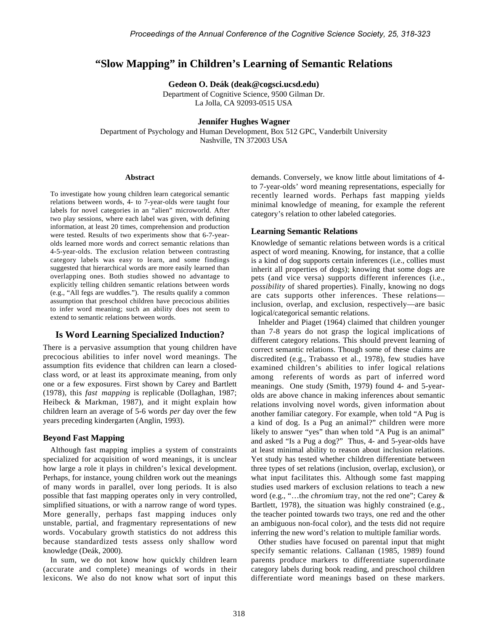# **"Slow Mapping" in Children's Learning of Semantic Relations**

**Gedeon O. Deák (deak@cogsci.ucsd.edu)**

Department of Cognitive Science, 9500 Gilman Dr. La Jolla, CA 92093-0515 USA

### **Jennifer Hughes Wagner**

Department of Psychology and Human Development, Box 512 GPC, Vanderbilt University Nashville, TN 372003 USA

#### **Abstract**

To investigate how young children learn categorical semantic relations between words, 4- to 7-year-olds were taught four labels for novel categories in an "alien" microworld. After two play sessions, where each label was given, with defining information, at least 20 times, comprehension and production were tested. Results of two experiments show that 6-7-yearolds learned more words and correct semantic relations than 4-5-year-olds. The exclusion relation between contrasting category labels was easy to learn, and some findings suggested that hierarchical words are more easily learned than overlapping ones. Both studies showed no advantage to explicitly telling children semantic relations between words (e.g., "All fegs are wuddles."). The results qualify a common assumption that preschool children have precocious abilities to infer word meaning; such an ability does not seem to extend to semantic relations between words.

### **Is Word Learning Specialized Induction?**

There is a pervasive assumption that young children have precocious abilities to infer novel word meanings. The assumption fits evidence that children can learn a closedclass word, or at least its approximate meaning, from only one or a few exposures. First shown by Carey and Bartlett (1978), this *fast mapping* is replicable (Dollaghan, 1987; Heibeck & Markman, 1987), and it might explain how children learn an average of 5-6 words *per* day over the few years preceding kindergarten (Anglin, 1993).

#### **Beyond Fast Mapping**

Although fast mapping implies a system of constraints specialized for acquisition of word meanings, it is unclear how large a role it plays in children's lexical development. Perhaps, for instance, young children work out the meanings of many words in parallel, over long periods. It is also possible that fast mapping operates only in very controlled, simplified situations, or with a narrow range of word types. More generally, perhaps fast mapping induces only unstable, partial, and fragmentary representations of new words. Vocabulary growth statistics do not address this because standardized tests assess only shallow word knowledge (Deák, 2000).

In sum, we do not know how quickly children learn (accurate and complete) meanings of words in their lexicons. We also do not know what sort of input this demands. Conversely, we know little about limitations of 4 to 7-year-olds' word meaning representations, especially for recently learned words. Perhaps fast mapping yields minimal knowledge of meaning, for example the referent category's relation to other labeled categories.

### **Learning Semantic Relations**

Knowledge of semantic relations between words is a critical aspect of word meaning. Knowing, for instance, that a collie is a kind of dog supports certain inferences (i.e., collies must inherit all properties of dogs); knowing that some dogs are pets (and vice versa) supports different inferences (i.e., *possibility* of shared properties). Finally, knowing no dogs are cats supports other inferences. These relations inclusion, overlap, and exclusion, respectively—are basic logical/categorical semantic relations.

Inhelder and Piaget (1964) claimed that children younger than 7-8 years do not grasp the logical implications of different category relations. This should prevent learning of correct semantic relations. Though some of these claims are discredited (e.g., Trabasso et al., 1978), few studies have examined children's abilities to infer logical relations among referents of words as part of inferred word meanings. One study (Smith, 1979) found 4- and 5-yearolds are above chance in making inferences about semantic relations involving novel words, given information about another familiar category. For example, when told "A Pug is a kind of dog. Is a Pug an animal?" children were more likely to answer "yes" than when told "A Pug is an animal" and asked "Is a Pug a dog?" Thus, 4- and 5-year-olds have at least minimal ability to reason about inclusion relations. Yet study has tested whether children differentiate between three types of set relations (inclusion, overlap, exclusion), or what input facilitates this. Although some fast mapping studies used markers of exclusion relations to teach a new word (e.g., "…the *chromium* tray, not the red one"; Carey & Bartlett, 1978), the situation was highly constrained (e.g., the teacher pointed towards two trays, one red and the other an ambiguous non-focal color), and the tests did not require inferring the new word's relation to multiple familiar words.

Other studies have focused on parental input that might specify semantic relations. Callanan (1985, 1989) found parents produce markers to differentiate superordinate category labels during book reading, and preschool children differentiate word meanings based on these markers.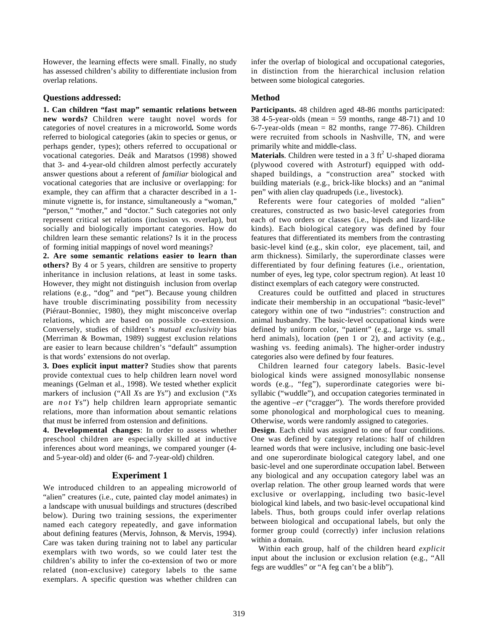However, the learning effects were small. Finally, no study has assessed children's ability to differentiate inclusion from overlap relations.

#### **Questions addressed:**

**1. Can children "fast map" semantic relations between new words?** Children were taught novel words for categories of novel creatures in a microworld**.** Some words referred to biological categories (akin to species or genus, or perhaps gender, types); others referred to occupational or vocational categories. Deák and Maratsos (1998) showed that 3- and 4-year-old children almost perfectly accurately answer questions about a referent of *familiar* biological and vocational categories that are inclusive or overlapping: for example, they can affirm that a character described in a 1 minute vignette is, for instance, simultaneously a "woman," "person," "mother," and "doctor." Such categories not only represent critical set relations (inclusion vs. overlap), but socially and biologically important categories. How do children learn these semantic relations? Is it in the process of forming initial mappings of novel word meanings?

**2. Are some semantic relations easier to learn than others?** By 4 or 5 years, children are sensitive to property inheritance in inclusion relations, at least in some tasks. However, they might not distinguish inclusion from overlap relations (e.g., "dog" and "pet"). Because young children have trouble discriminating possibility from necessity (Piéraut-Bonniec, 1980), they might misconceive overlap relations, which are based on possible co-extension. Conversely, studies of children's *mutual exclusivity* bias (Merriman & Bowman, 1989) suggest exclusion relations are easier to learn because children's "default" assumption is that words' extensions do not overlap.

**3. Does explicit input matter?** Studies show that parents provide contextual cues to help children learn novel word meanings (Gelman et al., 1998). We tested whether explicit markers of inclusion ("All *X*s are *Y*s") and exclusion ("*X*s are *not Y*s") help children learn appropriate semantic relations, more than information about semantic relations that must be inferred from ostension and definitions.

**4. Developmental changes**: In order to assess whether preschool children are especially skilled at inductive inferences about word meanings, we compared younger (4 and 5-year-old) and older (6- and 7-year-old) children.

### **Experiment 1**

We introduced children to an appealing microworld of "alien" creatures (i.e., cute, painted clay model animates) in a landscape with unusual buildings and structures (described below). During two training sessions, the experimenter named each category repeatedly, and gave information about defining features (Mervis, Johnson, & Mervis, 1994). Care was taken during training not to label any particular exemplars with two words, so we could later test the children's ability to infer the co-extension of two or more related (non-exclusive) category labels to the same exemplars. A specific question was whether children can

infer the overlap of biological and occupational categories, in distinction from the hierarchical inclusion relation between some biological categories.

## **Method**

**Participants.** 48 children aged 48-86 months participated: 38 4-5-year-olds (mean  $=$  59 months, range 48-71) and 10 6-7-year-olds (mean  $= 82$  months, range 77-86). Children were recruited from schools in Nashville, TN, and were primarily white and middle-class.

**Materials**. Children were tested in a 3  $ft<sup>2</sup>$  U-shaped diorama (plywood covered with Astroturf) equipped with oddshaped buildings, a "construction area" stocked with building materials (e.g., brick-like blocks) and an "animal pen" with alien clay quadrupeds (i.e., livestock).

Referents were four categories of molded "alien" creatures, constructed as two basic-level categories from each of two orders or classes (i.e., bipeds and lizard-like kinds). Each biological category was defined by four features that differentiated its members from the contrasting basic-level kind (e.g., skin color, eye placement, tail, and arm thickness). Similarly, the superordinate classes were differentiated by four defining features (i.e., orientation, number of eyes, leg type, color spectrum region). At least 10 distinct exemplars of each category were constructed.

Creatures could be outfitted and placed in structures indicate their membership in an occupational "basic-level" category within one of two "industries": construction and animal husbandry. The basic-level occupational kinds were defined by uniform color, "patient" (e.g., large vs. small herd animals), location (pen 1 or 2), and activity (e.g., washing vs. feeding animals). The higher-order industry categories also were defined by four features.

Children learned four category labels. Basic-level biological kinds were assigned monosyllabic nonsense words (e.g., "feg"), superordinate categories were bisyllabic ("wuddle"), and occupation categories terminated in the agentive *–er* ("cragger"). The words therefore provided some phonological and morphological cues to meaning. Otherwise, words were randomly assigned to categories.

**Design**. Each child was assigned to one of four conditions. One was defined by category relations: half of children learned words that were inclusive, including one basic-level and one superordinate biological category label, and one basic-level and one superordinate occupation label. Between any biological and any occupation category label was an overlap relation. The other group learned words that were exclusive or overlapping, including two basic-level biological kind labels, and two basic-level occupational kind labels. Thus, both groups could infer overlap relations between biological and occupational labels, but only the former group could (correctly) infer inclusion relations within a domain.

Within each group, half of the children heard *explicit* input about the inclusion or exclusion relation (e.g., "All fegs are wuddles" or "A feg can't be a blib").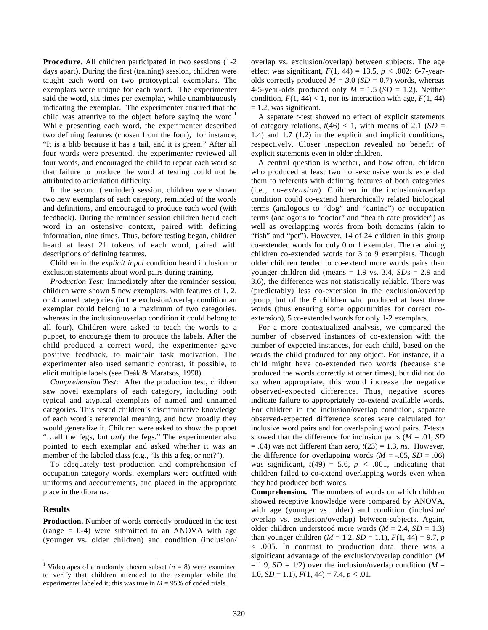**Procedure**. All children participated in two sessions (1-2 days apart). During the first (training) session, children were taught each word on two prototypical exemplars. The exemplars were unique for each word. The experimenter said the word, six times per exemplar, while unambiguously indicating the exemplar. The experimenter ensured that the child was attentive to the object before saying the word.<sup>1</sup> While presenting each word, the experimenter described two defining features (chosen from the four), for instance, "It is a blib because it has a tail, and it is green." After all four words were presented, the experimenter reviewed all four words, and encouraged the child to repeat each word so that failure to produce the word at testing could not be attributed to articulation difficulty.

In the second (reminder) session, children were shown two new exemplars of each category, reminded of the words and definitions, and encouraged to produce each word (with feedback). During the reminder session children heard each word in an ostensive context, paired with defining information, nine times. Thus, before testing began, children heard at least 21 tokens of each word, paired with descriptions of defining features.

Children in the *explicit input* condition heard inclusion or exclusion statements about word pairs during training.

*Production Test:* Immediately after the reminder session, children were shown 5 new exemplars, with features of 1, 2, or 4 named categories (in the exclusion/overlap condition an exemplar could belong to a maximum of two categories, whereas in the inclusion/overlap condition it could belong to all four). Children were asked to teach the words to a puppet, to encourage them to produce the labels. After the child produced a correct word, the experimenter gave positive feedback, to maintain task motivation. The experimenter also used semantic contrast, if possible, to elicit multiple labels (see Deák & Maratsos, 1998).

*Comprehension Test:* After the production test, children saw novel exemplars of each category, including both typical and atypical exemplars of named and unnamed categories. This tested children's discriminative knowledge of each word's referential meaning, and how broadly they would generalize it. Children were asked to show the puppet "…all the fegs, but *only* the fegs." The experimenter also pointed to each exemplar and asked whether it was an member of the labeled class (e.g., "Is this a feg, or not?").

To adequately test production and comprehension of occupation category words, exemplars were outfitted with uniforms and accoutrements, and placed in the appropriate place in the diorama.

#### **Results**

**Production.** Number of words correctly produced in the test (range  $= 0-4$ ) were submitted to an ANOVA with age (younger vs. older children) and condition (inclusion/ overlap vs. exclusion/overlap) between subjects. The age effect was significant,  $F(1, 44) = 13.5$ ,  $p < .002$ : 6-7-yearolds correctly produced  $M = 3.0$  (*SD* = 0.7) words, whereas 4-5-year-olds produced only  $M = 1.5$  ( $SD = 1.2$ ). Neither condition,  $F(1, 44) < 1$ , nor its interaction with age,  $F(1, 44)$  $= 1.2$ , was significant.

A separate *t*-test showed no effect of explicit statements of category relations,  $t(46) < 1$ , with means of 2.1 (*SD* = 1.4) and 1.7 (1.2) in the explicit and implicit conditions, respectively. Closer inspection revealed no benefit of explicit statements even in older children.

A central question is whether, and how often, children who produced at least two non-exclusive words extended them to referents with defining features of both categories (i.e., *co-extension*). Children in the inclusion/overlap condition could co-extend hierarchically related biological terms (analogous to "dog" and "canine") or occupation terms (analogous to "doctor" and "health care provider") as well as overlapping words from both domains (akin to "fish" and "pet"). However, 14 of 24 children in this group co-extended words for only 0 or 1 exemplar. The remaining children co-extended words for 3 to 9 exemplars. Though older children tended to co-extend more words pairs than younger children did (means = 1.9 vs. 3.4, *SD*s = 2.9 and 3.6), the difference was not statistically reliable. There was (predictably) less co-extension in the exclusion/overlap group, but of the 6 children who produced at least three words (thus ensuring some opportunities for correct coextension), 5 co-extended words for only 1-2 exemplars.

For a more contextualized analysis, we compared the number of observed instances of co-extension with the number of expected instances, for each child, based on the words the child produced for any object. For instance, if a child might have co-extended two words (because she produced the words correctly at other times), but did not do so when appropriate, this would increase the negative observed-expected difference. Thus, negative scores indicate failure to appropriately co-extend available words. For children in the inclusion/overlap condition, separate observed-expected difference scores were calculated for inclusive word pairs and for overlapping word pairs. *T*-tests showed that the difference for inclusion pairs (*M* = .01, *SD*  $= .04$ ) was not different than zero,  $t(23) = 1.3$ , *ns*. However, the difference for overlapping words  $(M = -.05, SD = .06)$ was significant,  $t(49) = 5.6$ ,  $p < .001$ , indicating that children failed to co-extend overlapping words even when they had produced both words.

**Comprehension.** The numbers of words on which children showed receptive knowledge were compared by ANOVA, with age (younger vs. older) and condition (inclusion/ overlap vs. exclusion/overlap) between-subjects. Again, older children understood more words  $(M = 2.4, SD = 1.3)$ than younger children  $(M = 1.2, SD = 1.1)$ ,  $F(1, 44) = 9.7$ , *p* < .005. In contrast to production data, there was a significant advantage of the exclusion/overlap condition (*M*  $= 1.9$ , *SD* = 1/2) over the inclusion/overlap condition (*M* = 1.0,  $SD = 1.1$ ),  $F(1, 44) = 7.4$ ,  $p < .01$ .

<sup>&</sup>lt;sup>1</sup> Videotapes of a randomly chosen subset ( $n = 8$ ) were examined to verify that children attended to the exemplar while the experimenter labeled it; this was true in  $M = 95\%$  of coded trials.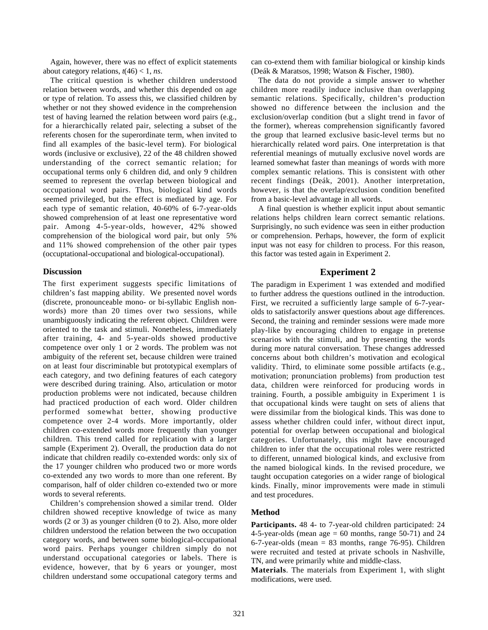Again, however, there was no effect of explicit statements about category relations,  $t(46) < 1$ , *ns*.

The critical question is whether children understood relation between words, and whether this depended on age or type of relation. To assess this, we classified children by whether or not they showed evidence in the comprehension test of having learned the relation between word pairs (e.g., for a hierarchically related pair, selecting a subset of the referents chosen for the superordinate term, when invited to find all examples of the basic-level term). For biological words (inclusive or exclusive), 22 of the 48 children showed understanding of the correct semantic relation; for occupational terms only 6 children did, and only 9 children seemed to represent the overlap between biological and occupational word pairs. Thus, biological kind words seemed privileged, but the effect is mediated by age. For each type of semantic relation, 40-60% of 6-7-year-olds showed comprehension of at least one representative word pair. Among 4-5-year-olds, however, 42% showed comprehension of the biological word pair, but only 5% and 11% showed comprehension of the other pair types (occuptational-occupational and biological-occupational).

#### **Discussion**

The first experiment suggests specific limitations of children's fast mapping ability. We presented novel words (discrete, pronounceable mono- or bi-syllabic English nonwords) more than 20 times over two sessions, while unambiguously indicating the referent object. Children were oriented to the task and stimuli. Nonetheless, immediately after training, 4- and 5-year-olds showed productive competence over only 1 or 2 words. The problem was not ambiguity of the referent set, because children were trained on at least four discriminable but prototypical exemplars of each category, and two defining features of each category were described during training. Also, articulation or motor production problems were not indicated, because children had practiced production of each word. Older children performed somewhat better, showing productive competence over 2-4 words. More importantly, older children co-extended words more frequently than younger children. This trend called for replication with a larger sample (Experiment 2). Overall, the production data do not indicate that children readily co-extended words: only six of the 17 younger children who produced two or more words co-extended any two words to more than one referent. By comparison, half of older children co-extended two or more words to several referents.

Children's comprehension showed a similar trend. Older children showed receptive knowledge of twice as many words (2 or 3) as younger children (0 to 2). Also, more older children understood the relation between the two occupation category words, and between some biological-occupational word pairs. Perhaps younger children simply do not understand occupational categories or labels. There is evidence, however, that by 6 years or younger, most children understand some occupational category terms and

can co-extend them with familiar biological or kinship kinds (Deák & Maratsos, 1998; Watson & Fischer, 1980).

The data do not provide a simple answer to whether children more readily induce inclusive than overlapping semantic relations. Specifically, children's production showed no difference between the inclusion and the exclusion/overlap condition (but a slight trend in favor of the former), whereas comprehension significantly favored the group that learned exclusive basic-level terms but no hierarchically related word pairs. One interpretation is that referential meanings of mutually exclusive novel words are learned somewhat faster than meanings of words with more complex semantic relations. This is consistent with other recent findings (Deák, 2001). Another interpretation, however, is that the overlap/exclusion condition benefited from a basic-level advantage in all words.

A final question is whether explicit input about semantic relations helps children learn correct semantic relations. Surprisingly, no such evidence was seen in either production or comprehension. Perhaps, however, the form of explicit input was not easy for children to process. For this reason, this factor was tested again in Experiment 2.

### **Experiment 2**

The paradigm in Experiment 1 was extended and modified to further address the questions outlined in the introduction. First, we recruited a sufficiently large sample of 6-7-yearolds to satisfactorily answer questions about age differences. Second, the training and reminder sessions were made more play-like by encouraging children to engage in pretense scenarios with the stimuli, and by presenting the words during more natural conversation. These changes addressed concerns about both children's motivation and ecological validity. Third, to eliminate some possible artifacts (e.g., motivation; pronunciation problems) from production test data, children were reinforced for producing words in training. Fourth, a possible ambiguity in Experiment 1 is that occupational kinds were taught on sets of aliens that were dissimilar from the biological kinds. This was done to assess whether children could infer, without direct input, potential for overlap between occupational and biological categories. Unfortunately, this might have encouraged children to infer that the occupational roles were restricted to different, unnamed biological kinds, and exclusive from the named biological kinds. In the revised procedure, we taught occupation categories on a wider range of biological kinds. Finally, minor improvements were made in stimuli and test procedures.

### **Method**

**Participants.** 48 4- to 7-year-old children participated: 24 4-5-year-olds (mean age  $= 60$  months, range 50-71) and 24 6-7-year-olds (mean  $= 83$  months, range 76-95). Children were recruited and tested at private schools in Nashville, TN, and were primarily white and middle-class.

**Materials**. The materials from Experiment 1, with slight modifications, were used.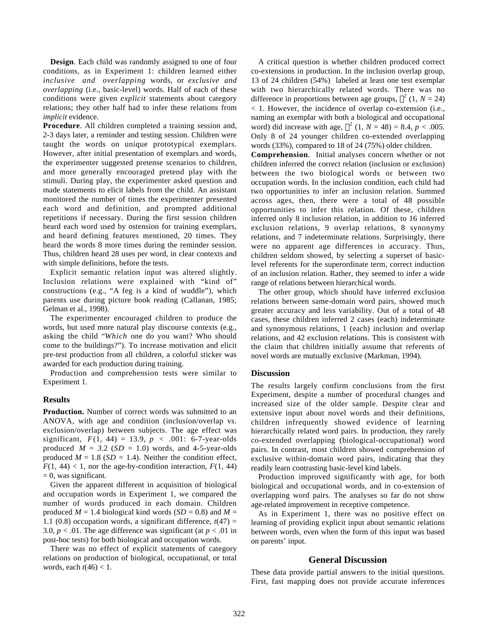**Design**. Each child was randomly assigned to one of four conditions, as in Experiment 1: children learned either *inclusive and overlapping* words, or *exclusive and overlapping* (i.e., basic-level) words. Half of each of these conditions were given *explicit* statements about category relations; they other half had to infer these relations from *implicit* evidence.

**Procedure**. All children completed a training session and, 2-3 days later, a reminder and testing session. Children were taught the words on unique prototypical exemplars. However, after initial presentation of exemplars and words, the experimenter suggested pretense scenarios to children, and more generally encouraged pretend play with the stimuli. During play, the experimenter asked question and made statements to elicit labels from the child. An assistant monitored the number of times the experimenter presented each word and definition, and prompted additional repetitions if necessary. During the first session children heard each word used by ostension for training exemplars, and heard defining features mentioned, 20 times. They heard the words 8 more times during the reminder session. Thus, children heard 28 uses per word, in clear contexts and with simple definitions, before the tests.

Explicit semantic relation input was altered slightly. Inclusion relations were explained with "kind of" constructions (e.g., "A feg is a kind of wuddle"), which parents use during picture book reading (Callanan, 1985; Gelman et al., 1998).

The experimenter encouraged children to produce the words, but used more natural play discourse contexts (e.g., asking the child "*Which* one do you want? Who should come to the buildings?"). To increase motivation and elicit pre-test production from all children, a colorful sticker was awarded for each production during training.

Production and comprehension tests were similar to Experiment 1.

#### **Results**

**Production.** Number of correct words was submitted to an ANOVA, with age and condition (inclusion/overlap vs. exclusion/overlap) between subjects. The age effect was significant,  $F(1, 44) = 13.9, p < .001$ : 6-7-year-olds produced  $M = 3.2$  (*SD* = 1.0) words, and 4-5-year-olds produced  $M = 1.8$  (*SD* = 1.4). Neither the condition effect,  $F(1, 44) < 1$ , nor the age-by-condition interaction,  $F(1, 44)$  $= 0$ , was significant.

Given the apparent different in acquisition of biological and occupation words in Experiment 1, we compared the number of words produced in each domain. Children produced  $M = 1.4$  biological kind words ( $SD = 0.8$ ) and  $M =$ 1.1 (0.8) occupation words, a significant difference,  $t(47)$  = 3.0,  $p < .01$ . The age difference was significant (at  $p < .01$  in post-hoc tests) for both biological and occupation words.

There was no effect of explicit statements of category relations on production of biological, occupational, or total words, each  $t(46) < 1$ .

A critical question is whether children produced correct co-extensions in production. In the inclusion overlap group, 13 of 24 children (54%) labeled at least one test exemplar with two hierarchically related words. There was no difference in proportions between age groups,  $\chi^2$  (1, *N* = 24) < 1. However, the incidence of overlap co-extension (i.e., naming an exemplar with both a biological and occupational word) did increase with age,  $\chi^2$  (1, *N* = 48) = 8.4, *p* < .005. Only 8 of 24 younger children co-extended overlapping words (33%), compared to 18 of 24 (75%) older children.

**Comprehension**. Initial analyses concern whether or not children inferred the correct relation (inclusion or exclusion) between the two biological words or between two occupation words. In the inclusion condition, each child had two opportunities to infer an inclusion relation. Summed across ages, then, there were a total of 48 possible opportunities to infer this relation. Of these, children inferred only 8 inclusion relation, in addition to 16 inferred exclusion relations, 9 overlap relations, 8 synonymy relations, and 7 indeterminate relations. Surprisingly, there were no apparent age differences in accuracy. Thus, children seldom showed, by selecting a superset of basiclevel referents for the superordinate term, correct induction of an inclusion relation. Rather, they seemed to infer a wide range of relations between hierarchical words.

The other group, which should have inferred exclusion relations between same-domain word pairs, showed much greater accuracy and less variability. Out of a total of 48 cases, these children inferred 2 cases (each) indeterminate and synonymous relations, 1 (each) inclusion and overlap relations, and 42 exclusion relations. This is consistent with the claim that children initially assume that referents of novel words are mutually exclusive (Markman, 1994).

#### **Discussion**

The results largely confirm conclusions from the first Experiment, despite a number of procedural changes and increased size of the older sample. Despite clear and extensive input about novel words and their definitions, children infrequently showed evidence of learning hierarchically related word pairs. In production, they rarely co-extended overlapping (biological-occupational) word pairs. In contrast, most children showed comprehension of exclusive within-domain word pairs, indicating that they readily learn contrasting basic-level kind labels.

Production improved significantly with age, for both biological and occupational words, and in co-extension of overlapping word pairs. The analyses so far do not show age-related improvement in receptive competence.

As in Experiment 1, there was no positive effect on learning of providing explicit input about semantic relations between words, even when the form of this input was based on parents' input.

## **General Discussion**

These data provide partial answers to the initial questions. First, fast mapping does not provide accurate inferences